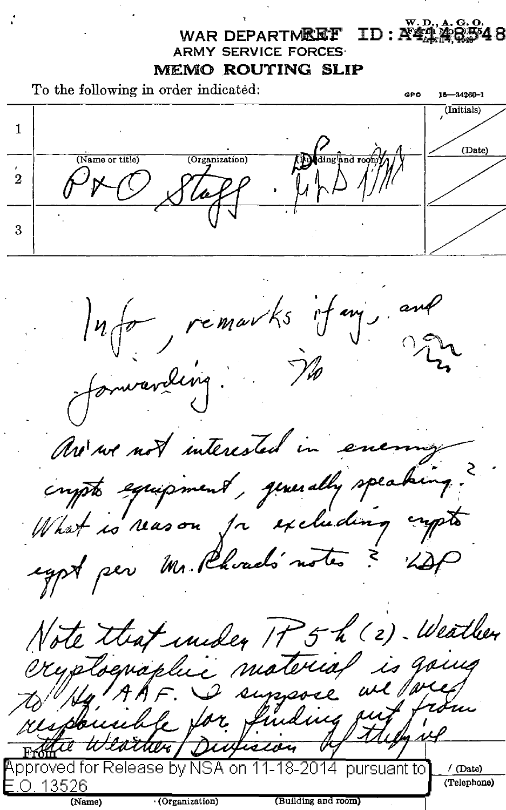### $ID: \mathbf{A}$ 47.48 WAR DEPARTMEE'E' ARMY SERVICE FORCES· MEMO ROUTING SLIP

To the following in order indicated:  $\begin{array}{ccc}\n\text{GPO} & \text{16} & \text{16} \\
\text{18} & \text{18} & \text{18} \\
\text{19} & \text{19} & \text{19}\n\end{array}$ (Initials) 1 Allainstand room (Date) (Organization) (Name or title)  $\frac{1}{2}$ Tapp. [1] 3

Info remarks if m's and Are not interested in energy crypto equipment, querally speaking. What is reason for excluding impto egyt per Mr. Phoad's notes ? 12P Note that under IP 5 h (2) Weather is going exyplographic material we for I suppose responsible for funding out *Durivin* Approved for Release by NSA on 11-18-2014 pursuant to  $\sqrt{\text{(Date)}}$ -13526 (Telephone) (Name) · (Organization) (Building and room)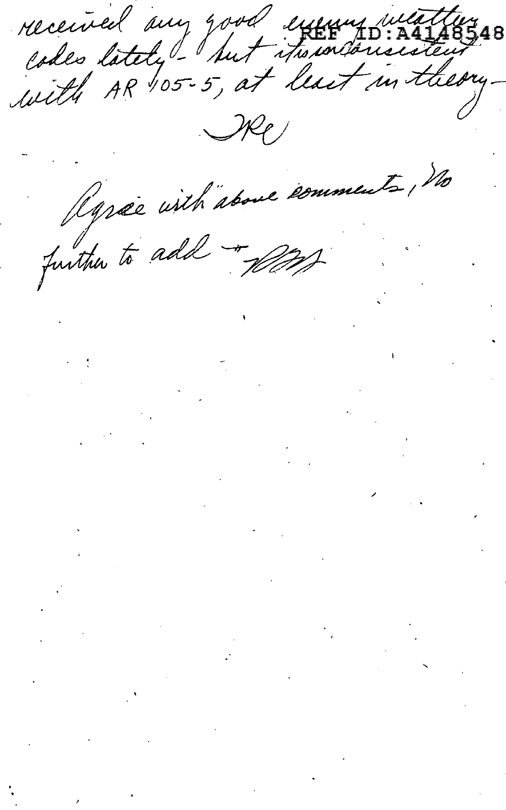received any good exemplations  $\mathcal{H}$ 

Ryree with above comments, no

 $\label{eq:2} \begin{array}{l} \mathcal{L}_{\text{max}} \\ \mathcal{L}_{\text{max}} \\ \mathcal{L}_{\text{max}} \end{array}$ 

 $\mathcal{O}(\mathcal{O}_\mathcal{O})$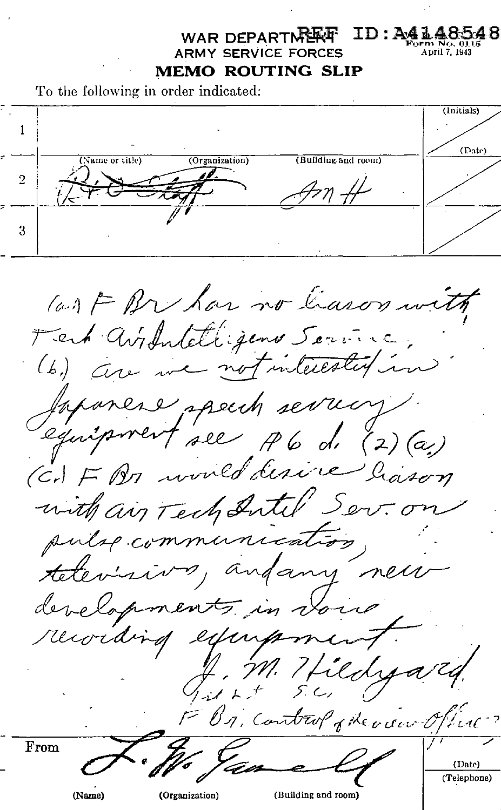## **WAR DEPARTMENT: ID: A41.4850**<br>PMY SERVICE FORCES **ARMY SERVICE FORCES MEMO ROUTING SLIP**

To the following in order indicated:



(a) F Br has no leason with Fert avidateligens Service, (b) are we not interesting in forance speech server equipment see A6 d. (2) (a) (Cr) F Bo would desire ligson with air Tech Intil Sev. on pulse communication televisive, andany new developments in voice recording experiencent M. Hildya J . 7<br>1 . 1 . . F B1, Control phenon Office From (Date) (Telephone)

(Name) (Organization) (Building and room)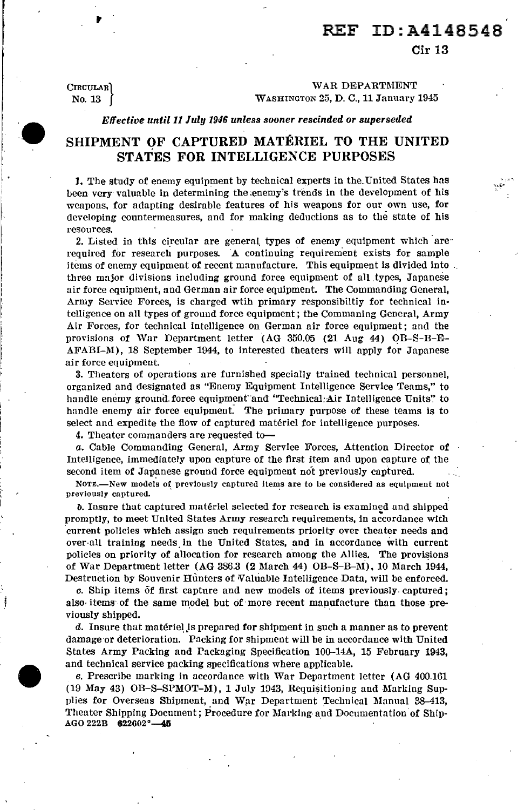Cir 13

CIRCULAR<sup>1</sup> No. 13 |

 $\mathbf{r}$ 

 $\bullet$ 

j

#### WAR DEPARTMENT WASHINGTON 25, D. C., 11 January 1945

### *Effective until 11July1946 unless sooner rescinded or superseded*

## SHIPMENT OF CAPTURED MATERIEL TO THE UNITED STATES FOR INTELLIGENCE PURPOSES

1. The study of enemy equipment by technical experts in the. United States has been very valuable in determining the;enemy's trends in the development of his weapons, for adapting desirable features of his weapons for our own use, for developing countermeasures, and for making deductions as to the state of bis resources.

2. Listed in this circular are general types of enemy equipment which  $are$ required for research purposes. A continuing requirement exists for sample items of enemy equipment of recent manufacture. This equipment is divided into . three major divisions including ground force equipment of all types, Japanese air force equipment, and German air force equipment. The Commanding General, Army Service Forces, is charged wtib primary responsibiltiy for technical in· telligence on all types of ground force equipment; the Commaning General, Army Air Forces, for technical intelligence on German air force equipment; and the provisions of War Department letter (AG 350.05 (21 Aug 44) OB-S-B-E-AFABI-M), 18 September 1944, to interested theaters will apply for Japanese air force equipment.

3. Theaters of operations are furnished specially trained technical personnel, organized and designated as "Enemy Equipment Intelligence Service Teams," to handle enemy ground force equipment and "Technical: Air Intelligence Units" to handle enemy air force equipment. The primary purpose of these teams is to select and expedite the flow of captured materiel for intelligence purposes.

4. Theater commanders are requested to-

*a.* Cable Commanding General, Army Service Forces, Attention Director of Intelligence, immediately upon capture of the first item and upon capture of the second item of Japanese ground force equipment not previously captured.

NOTE.-New models of previously captured items are to be considered as equipment not previously captured.

*b.* Insure that captured materiel selected for research is examined and shipped promptly, to meet United States Army research requirements, in accordance with 'current policies which assign such requirements priority over theater needs and over-all training needs in the United States, and in accordance with current policies on priority of allocation for research among the Allies. The provisions of War Department letter (AG 386.3 (2 March 44) OB-S-B-1\l), 10 March i944, Destruction by Souvenir Hunters of Valuable Intelligence Data, will be enforced.

*c.* Ship items of first capture and new models of items previously. captured; also items of the same model but of more recent manufacture than those previously shipped.

d. Insure that materiel is prepared for shipment in such a manner as to prevent damage or deterioration. Packing for shipment will be in accordance with United States Army Packing and Packaging Specification 100-14A, 15 February 1943, and technical service packing specifications where applicable.

*e.* Prescribe marking in accordance with War Department letter (AG 400.161 (19 May 43) OB-S-SPMOT-M), 1July1043, Requisitioning and Marking Supplies for Overseas Shipment, and War Department Technical Manual 38-413, Theater Shipping Document; Procedure for Marking· and Documentation of Ship-AGO 222B 622602°-45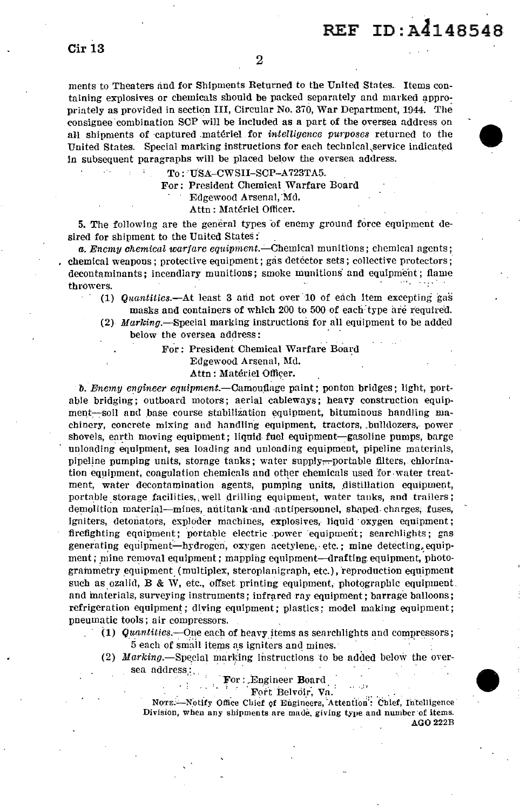ments to Theaters and for Shipments Returned to the United States. Items containing explosives or chemicals should be packed separately and marked appropriately as provided in section III, Circular No. 370, War Department, 1944. The consignee combination SCP will be included as a part of the oversea address on all shipments of ·captured .materiel for *intelligence purposes* returned to the United States. Special marking instructions for each technical, service indicated in subsequent paragraphs will be placed below the oversea address.

To: USA-CWSII-SCP-A723TA5.

For: President Chemical Warfare Board

Edgewood Arsenal, Md.

Attn: Matériel Officer.

5. The following are the general types of enemy ground force equipment desired for shipment to the United States:

*a. Enemy chemical warfare equipment.-Chemical* munitions; chemical agents; chemical weapons; protective equipment; gas detector sets; collective protectors; decontaminants; incendiary munitions; smoke munitions and equipment; flame throwers.

(1) *Quantities.*-At least 3 and not over 10 of each item excepting gas masks and containers of which 200 to 500 of each: type are required.

(2) *Marking.*—Special marking instructions for all equipment to be added below the oversea address:

> For: President Chemical Warfare Board Edgewood Arsenal, Md. Attn: Matériel Officer.

*b. Enemy engineer equipment.*—Camouflage paint; ponton bridges; light, portable bridging; outboard motors; aerial cableways; heavy construction equipment-soil and base course stabilization equipment, bituminous handling machinery, concrete mixing and handling equipment, tractors, .bulldozers,. power shovels, earth moving equipment; liquid fuel equipment-gasoline pumps, barge unloading equipment, sea loading and unloading equipment, pipeline materials, pipeline pumping units, storage tanks; water supply,--portable filters, chlorination equipment, coagulation chemicals and other chemicals used for water treatment, water decontamination agents, pumping units, distillation equipment, portable storage facilities, well drilling equipment, water tanks, and trailers; demolition material-mines, antitank and antipersonnel, shaped charges, fuses, igniters, detonators, exploder machines, explosives, liquid oxygen equipment; firefighting equipment; portable electric power equipment; searchlights; gas generating equipment—hydrogen. oxygen acetylene, etc.; mine detecting, equipment; mine removal equipment; mapping equipment-drafting equipment, photogrammetry equipment (multiplex, steroplanigraph, etc.), reproduction equipment such as ozalid, B & W, etc., offset printing equipment, photographic equipment. and materials, surveying instruments; infrared ray equipment; barrage balloons; refrigeration equipment; diving equipment; plastics; model making equipment; pneumatic tools; air compressors.

- **(1)** *Quantities.-One* each of heavy !terns as searchlights and compressors; 5 each of small items as igniters and mines.
	- (2) Marking.-Special marking instructions to be added below the oversea address:

For: Engineer Board :. : \_. **1 F001 F0011 V**<sub>0</sub>

NOTE:-Notify Office Chief of Engineers, Attention: Chief, Intelligence Division, when any shipments are made, giving type and number of items. AG0222B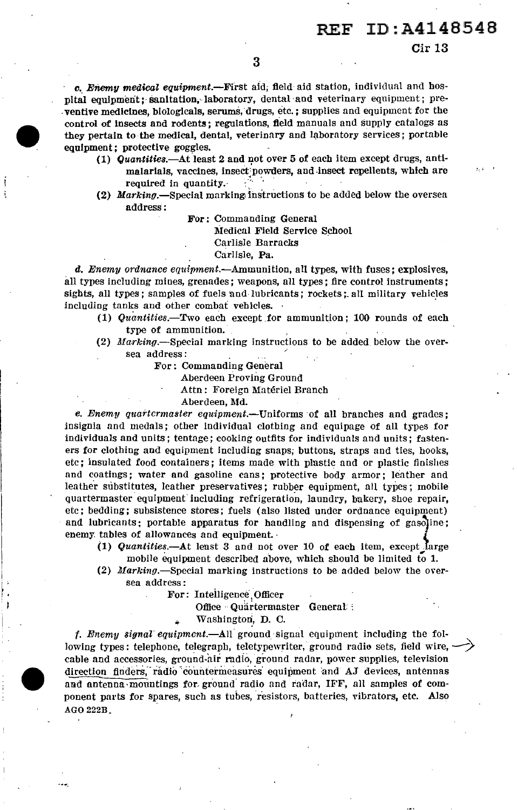Cir 13

c. Enemy medical equipment.-First aid; field aid station, individual and hospital equipment; sanitation, laboratory, dental and veterinary equipment; preventive medicines, biologicals, serums, drugs, etc.; supplies and equipment for the control of insects and rodents; regulations, field manuals and supply catalogs as they pertain to the medical, dental, veterinary and laboratory services; portable equipment; protective goggles.

- (1)  $Quantities. -At least 2 and not over 5 of each item except drugs, anti$ malarials, vaccines, insect'powders, and-insect repellents, which are required in quantity.
- (2) Marking.-Special marking instructions to be added below the oversea address:

For: Commanding General Medical Field Service School Carlisle Barracks Carlisle, Pa.

 $d.$  Enemy ordnance equipment.—Ammunition, all types, with fuses; explosives, all types including mines, grenades; weapons, all types; fire control instruments; sights, all types; samples of fuels and lubricants; rockets; all military vehicles including tanks and other combat vehicles. ·

- (1)  $Quantities.$  Two each except for ammunition; 100 rounds of each type of ammunition.
- (2)  $Marking$ . Special marking instructions to be added below the oversea address :
	- For: Commanding General
		- Aberdeen Proving Ground
			- Attn: Foreign Materiel Branch

Aberdeen, Md.

e. Enemy quartcrmaster equipment.--Uniforms of all branches and grades; insignia and medals; other individual clothing and equipage of all types for individuals and units; tentage; cooking outfits for individuals and units; fasteners for clothing and equipment including snaps; buttons, straps and ties, hooks, etc; insulated food containers; items made with plastic and or plastic finishes and coatings; water and gasoline cans; protective body armor; leather and leather substitutes, leather preservatives; rubber equipment, all types; mobile quartermaster equipment including refrigeration, laundry, bakery, shoe repair, etc; bedding; subsistence stores; fuels (also listed under ordnance equipment) and lubricants; portable apparatus for handling and dispensing of gasoline; enemy. tables of allowances and equipment. ·

- (1) Quantities.-At lenst 3 and not over 10 of each item, except . arge mobile equipment described above, which should be limited to 1.
- (2) Marking.—Special marking instructions to be added below the oversea address:
	- For: Intelligence Officer

I f:  $\cdot$  i

Office Quartermaster General: :

Washington, D. C.

f. Enemy signal equipment.—All ground signal equipment including the following types: telephone, telegraph, teletypewriter, ground radio sets, field wire, cable and accessories, ground-air radio, ground radar, power supplies, television direction finders, radio countermeasures equipment and AJ devices, antennas and antenna mountings for ground radio and radar, IFF, all samples of component parts for spares, such as tubes, resistors, batteries, vibrators, etc. Also AGO 222B\_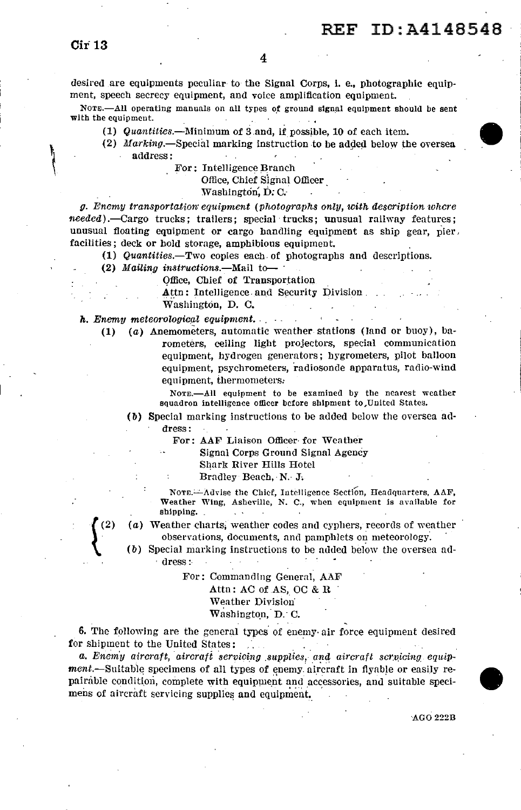desired are equipments peculiar to the Signal Corps, i. e., photographic equipment, speech secrecy equipment, and voice amplification equipment.

NOTE.--All operating manuals on all types of ground signal equipment should be sent with the equipment.

- **(1)** Quantities.-1\Iinimum of 3 and, 1f possible, 10 of each item.
- (2) Marking.-Special marking instruction to be added below the oversea address:
	- For: Intelligence Branch

Office, Chief Signal Officer

#### Washington, D.C.

g. Enemy transportation· equipment (photographs only, with description where  $needed$ ).—Cargo trucks; trailers; special trucks; unusual railway features; unusual floating equipment or cargo handling equipment as ship gear, pier, facilities; deck or hold storage, amphibious equipment.

**(1)** Quantities.-Two copies each of photographs and descriptions.

 $(2)$  Mailing instructions.—Mail to-

Office, Chief of Transportation

 $Attn:$  Intelligence. and Security Division. Washington, D. C.

**h.** Enemy meteorological equipment. . . . . . . .

 $(2)$ 

**(1)** (a) Anemometers, automatic weather stations (land or buoy), barometers, ceiling light projectors, special communication equipment, hydrogen generators; hygrometers, pilot balloon equipment, psychrometers, radiosonde apparatus, radio-wind equipment, ihermometers:

> NOTE.-All equipment to be examined by the nearest weather squadron intelligence officer before shipment to, United States.

(b) Special marking instructions to be added below the oversea address:

For: AAF Liaison Officer- for Weather

Signal Corps Ground Signal Agency

Shark River Hills Hotel

Bradley Beach, N.· J.

NOTE.-Advise the Chief, Intelligence Section, Headquarters, AAF, Weather Wing, Asheville, N. C., when equipment is available for shipping.

(a) Weather charts; weather codes and cyphers, records of weather observations, documents, and pamphlets on meteorology.

 $(b)$  Special marking instructions to be added below the oversea ad-. dress:-

> For: Commanding General, AAF Attn : AC of AS, OC & H. Weather Division· Washington, D. C.

6. The following are the general types' of enemy· air force equipment desired for shipment to the United States:

a. Enemy aircraft, aircraft servicing supplies, and aircraft scr.vicing equip $ment$ —Suitable specimens of all types of enemy aircraft in flyable or easily repairable condition, complete with equipment and accessories, and suitable specimens of aircraft servicing supplies and equipment.

AGO 222B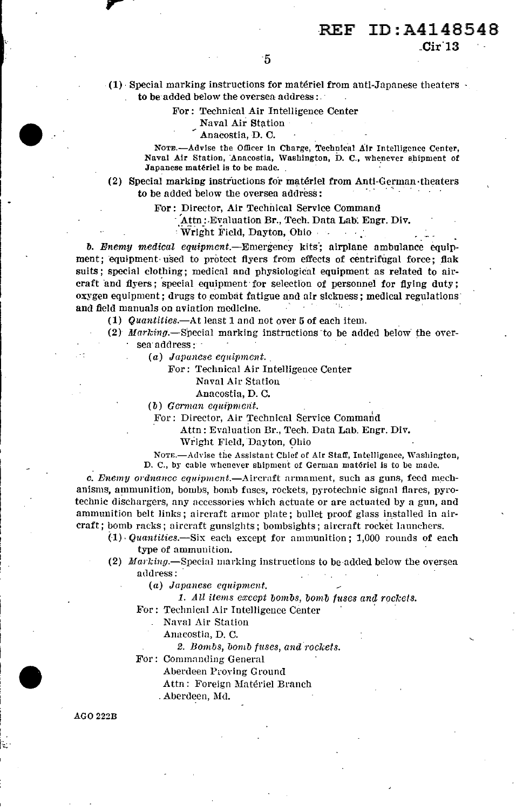$Cir13$ 

(1) Special marking instructions for matériel from anti-Japanese theaters to be added below the oversea address:

For: Technical Air Intelligence Center

Naval Air Station

Anacostia, D. C.

NOTE.-Advise the Officer in Charge, Technical Air Intelligence Center. Naval Air Station, Anacostia, Washington, D. C., whenever shipment of Japanese matériel is to be made.

(2) Special marking instructions for matériel from Anti-German theaters to be added below the oversea address:

For: Director, Air Technical Service Command

Attn: Evaluation Br., Tech. Data Lab. Engr. Div.

Wright Field, Dayton, Ohio  $\alpha \rightarrow \frac{1}{2}$ 

b. Enemy medical equipment.—Emergency kits; airplane ambulance equipment; equipment used to protect flyers from effects of centrifugal force; flak suits; special clothing; medical and physiological equipment as related to aircraft and flyers; special equipment for selection of personnel for flying duty; oxygen equipment; drugs to combat fatigue and air sickness; medical regulations and field manuals on aviation medicine.

(1) Quantities.—At least 1 and not over 5 of each item.

(2) Marking.-Special marking instructions to be added below the oversea address:

(a) Japanese equipment.

For: Technical Air Intelligence Center

Naval Air Station

Anacostia, D. C.

(b) German equipment.

For: Director, Air Technical Service Command

Attn: Evaluation Br., Tech. Data Lab. Engr. Div.

Wright Field, Dayton, Ohio

NOTE.-Advise the Assistant Chief of Air Staff, Intelligence, Washington, D. C., by cable whenever shipment of German matériel is to be made.

c. Enemy ordnance equipment.—Aircraft armament, such as guns, feed mechanisms, ammunition, bombs, bomb fuses, rockets, pyrotechnic signal flares, pyrotechnic dischargers, any accessories which actuate or are actuated by a gun, and ammunition belt links; aircraft armor plate; bullet proof glass installed in aircraft; bomb racks; aircraft gunsights; bombsights; aircraft rocket launchers.

 $(1)$  Quantities.—Six each except for ammunition; 1,000 rounds of each type of ammunition.

(2) Marking.—Special marking instructions to be added below the oversea address:

(a) Japanese equipment.

1. All items except bombs, bomb fuses and rockets.

For: Technical Air Intelligence Center

Naval Air Station

Anacostia, D. C.

2. Bombs, bomb fuses, and rockets.

For: Commanding General

Aberdeen Proying Ground

Attn: Foreign Matériel Branch

. Aberdeen, Md.

**AGO 222B**